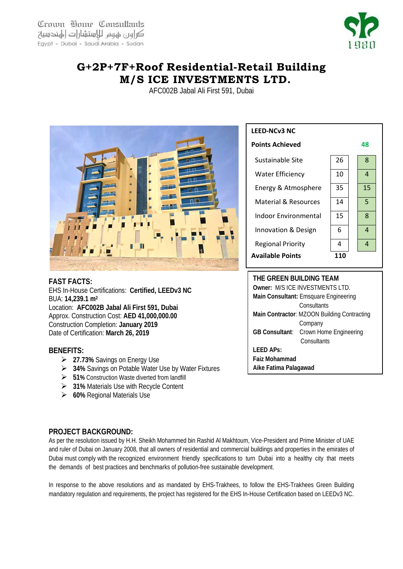Crown Home Consultants كراور عهوم للاستشارات الهندسية Egypt - Dubai - Saudi Arabia - Sudan



## **G+2P+7F+Roof Residential-Retail Building M/S ICE INVESTMENTS LTD.**

AFC002B Jabal Ali First 591, Dubai



**FAST FACTS:** EHS In-House Certifications: **Certified, LEEDv3 NC**  BUA: **14,239.1 m2** Location: **AFC002B Jabal Ali First 591, Dubai** Approx. Construction Cost: **AED 41,000,000.00** Construction Completion: **January 2019** Date of Certification: **March 26, 2019**

## **BENEFITS:**

- **27.73%** Savings on Energy Use
- **34%** Savings on Potable Water Use by Water Fixtures
- **51%** Construction Waste diverted from landfill
- **31%** Materials Use with Recycle Content
- **60%** Regional Materials Use



**THE GREEN BUILDING TEAM Owner:** M/S ICE INVESTMENTS LTD. **Main Consultant:** Emsquare Engineering **Consultants Main Contractor**: MZOON Building Contracting Company **GB Consultant**: Crown Home Engineering **Consultants LEED APs: Faiz Mohammad Aike Fatima Palagawad**

## **PROJECT BACKGROUND:**

As per the resolution issued by H.H. Sheikh Mohammed bin Rashid Al Makhtoum, Vice-President and Prime Minister of UAE and ruler of Dubai on January 2008, that all owners of residential and commercial buildings and properties in the emirates of Dubai must comply with the recognized environment friendly specifications to turn Dubai into a healthy city that meets the demands of best practices and benchmarks of pollution-free sustainable development.

In response to the above resolutions and as mandated by EHS-Trakhees, to follow the EHS-Trakhees Green Building mandatory regulation and requirements, the project has registered for the EHS In-House Certification based on LEEDv3 NC.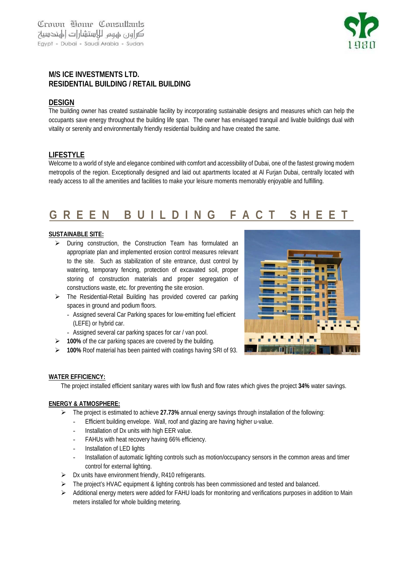

## **M/S ICE INVESTMENTS LTD. RESIDENTIAL BUILDING / RETAIL BUILDING**

## **DESIGN**

The building owner has created sustainable facility by incorporating sustainable designs and measures which can help the occupants save energy throughout the building life span. The owner has envisaged tranquil and livable buildings dual with vitality or serenity and environmentally friendly residential building and have created the same.

## **LIFESTYLE**

Welcome to a world of style and elegance combined with comfort and accessibility of Dubai, one of the fastest growing modern metropolis of the region. Exceptionally designed and laid out apartments located at Al Furjan Dubai, centrally located with ready access to all the amenities and facilities to make your leisure moments memorably enjoyable and fulfilling.

# **GREEN BUILDING FACT SHEET**

### **SUSTAINABLE SITE:**

- During construction, the Construction Team has formulated an appropriate plan and implemented erosion control measures relevant to the site. Such as stabilization of site entrance, dust control by watering, temporary fencing, protection of excavated soil, proper storing of construction materials and proper segregation of constructions waste, etc. for preventing the site erosion.
- The Residential-Retail Building has provided covered car parking spaces in ground and podium floors.
	- Assigned several Car Parking spaces for low-emitting fuel efficient (LEFE) or hybrid car.
	- Assigned several car parking spaces for car / van pool.
- **100%** of the car parking spaces are covered by the building.
- **100%** Roof material has been painted with coatings having SRI of 93.



### **WATER EFFICIENCY:**

The project installed efficient sanitary wares with low flush and flow rates which gives the project **34%** water savings.

### **ENERGY & ATMOSPHERE:**

- The project is estimated to achieve **27.73%** annual energy savings through installation of the following:
	- Efficient building envelope. Wall, roof and glazing are having higher u-value.
	- Installation of Dx units with high EER value.
	- FAHUs with heat recovery having 66% efficiency.
	- Installation of LED lights
	- Installation of automatic lighting controls such as motion/occupancy sensors in the common areas and timer control for external lighting.
- $\triangleright$  Dx units have environment friendly, R410 refrigerants.
- > The project's HVAC equipment & lighting controls has been commissioned and tested and balanced.
- $\triangleright$  Additional energy meters were added for FAHU loads for monitoring and verifications purposes in addition to Main meters installed for whole building metering.